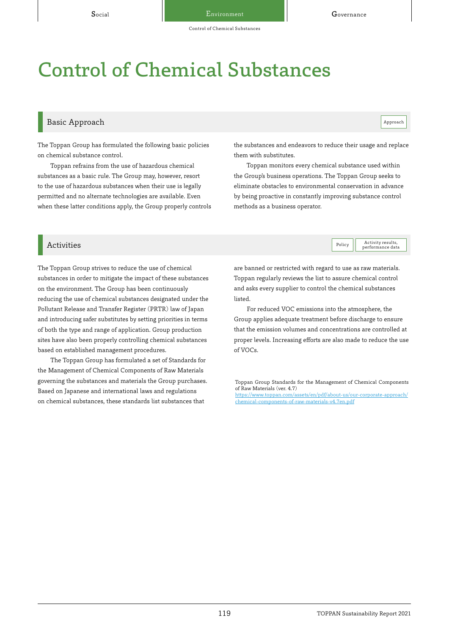Control of Chemical Substances

## Control of Chemical Substances

## Basic Approach and the contract of the contract of the contract of the contract of the contract of the contract of the contract of the contract of the contract of the contract of the contract of the contract of the contrac

Policy **Activity results**,

The Toppan Group has formulated the following basic policies on chemical substance control.

Toppan refrains from the use of hazardous chemical substances as a basic rule. The Group may, however, resort to the use of hazardous substances when their use is legally permitted and no alternate technologies are available. Even when these latter conditions apply, the Group properly controls the substances and endeavors to reduce their usage and replace them with substitutes.

Toppan monitors every chemical substance used within the Group's business operations. The Toppan Group seeks to eliminate obstacles to environmental conservation in advance by being proactive in constantly improving substance control methods as a business operator.

## ■ Activities Activity results, and the contract of the contract of the contract of the contract of the contract of the contract of the contract of the contract of the contract of the contract of the contract of the contra

The Toppan Group strives to reduce the use of chemical substances in order to mitigate the impact of these substances on the environment. The Group has been continuously reducing the use of chemical substances designated under the Pollutant Release and Transfer Register (PRTR) law of Japan and introducing safer substitutes by setting priorities in terms of both the type and range of application. Group production sites have also been properly controlling chemical substances based on established management procedures.

The Toppan Group has formulated a set of Standards for the Management of Chemical Components of Raw Materials governing the substances and materials the Group purchases. Based on Japanese and international laws and regulations on chemical substances, these standards list substances that

are banned or restricted with regard to use as raw materials. Toppan regularly reviews the list to assure chemical control and asks every supplier to control the chemical substances listed.

For reduced VOC emissions into the atmosphere, the Group applies adequate treatment before discharge to ensure that the emission volumes and concentrations are controlled at proper levels. Increasing efforts are also made to reduce the use of VOCs.

[https://www.toppan.com/assets/en/pdf/about-us/our-corporate-approach/](https://www.toppan.com/assets/en/pdf/about-us/our-corporate-approach/chemical-components-of-raw-materials-v4.7en.pdf) chemical-components-of-raw-materials-v4.7en.pdf

Toppan Group Standards for the Management of Chemical Components of Raw Materials (ver. 4.7)